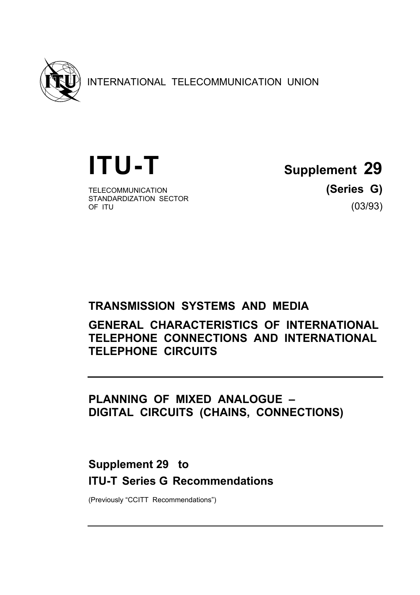

INTERNATIONAL TELECOMMUNICATION UNION

TELECOMMUNICATION **(Series G)** STANDARDIZATION SECTOR<br>OF ITU

**ITU-T Supplement 29**

 $(03/93)$ 

# **TRANSMISSION SYSTEMS AND MEDIA**

**GENERAL CHARACTERISTICS OF INTERNATIONAL TELEPHONE CONNECTIONS AND INTERNATIONAL TELEPHONE CIRCUITS** 

**PLANNING OF MIXED ANALOGUE – DIGITAL CIRCUITS (CHAINS, CONNECTIONS)** 

# **Supplement 29 to ITU-T Series G Recommendations**

(Previously "CCITT Recommendations")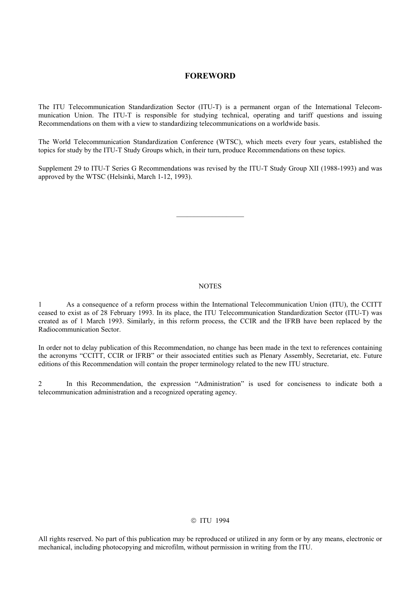#### **FOREWORD**

The ITU Telecommunication Standardization Sector (ITU-T) is a permanent organ of the International Telecommunication Union. The ITU-T is responsible for studying technical, operating and tariff questions and issuing Recommendations on them with a view to standardizing telecommunications on a worldwide basis.

The World Telecommunication Standardization Conference (WTSC), which meets every four years, established the topics for study by the ITU-T Study Groups which, in their turn, produce Recommendations on these topics.

Supplement 29 to ITU-T Series G Recommendations was revised by the ITU-T Study Group XII (1988-1993) and was approved by the WTSC (Helsinki, March 1-12, 1993).

#### **NOTES**

1 As a consequence of a reform process within the International Telecommunication Union (ITU), the CCITT ceased to exist as of 28 February 1993. In its place, the ITU Telecommunication Standardization Sector (ITU-T) was created as of 1 March 1993. Similarly, in this reform process, the CCIR and the IFRB have been replaced by the Radiocommunication Sector.

In order not to delay publication of this Recommendation, no change has been made in the text to references containing the acronyms "CCITT, CCIR or IFRB" or their associated entities such as Plenary Assembly, Secretariat, etc. Future editions of this Recommendation will contain the proper terminology related to the new ITU structure.

2 In this Recommendation, the expression "Administration" is used for conciseness to indicate both a telecommunication administration and a recognized operating agency.

#### © ITU 1994

All rights reserved. No part of this publication may be reproduced or utilized in any form or by any means, electronic or mechanical, including photocopying and microfilm, without permission in writing from the ITU.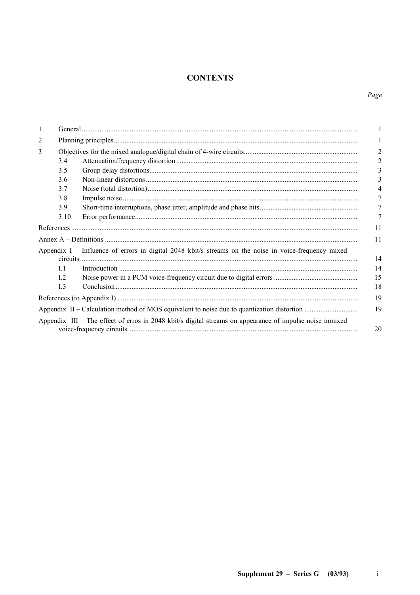# **CONTENTS**

# Page

| 1 |                |                                                                                                          |    |
|---|----------------|----------------------------------------------------------------------------------------------------------|----|
| 2 |                |                                                                                                          |    |
| 3 |                |                                                                                                          |    |
|   | 3.4            |                                                                                                          |    |
|   | 3.5            |                                                                                                          |    |
|   | 3.6            |                                                                                                          |    |
|   | 3.7            |                                                                                                          |    |
|   | 3.8            |                                                                                                          |    |
|   | 3.9            |                                                                                                          |    |
|   | 3.10           |                                                                                                          |    |
|   | References     |                                                                                                          | 11 |
|   |                |                                                                                                          | 11 |
|   |                | Appendix I – Influence of errors in digital 2048 kbit/s streams on the noise in voice-frequency mixed    | 14 |
|   | L1             |                                                                                                          | 14 |
|   | L <sub>2</sub> |                                                                                                          | 15 |
|   | I.3            |                                                                                                          | 18 |
|   |                |                                                                                                          | 19 |
|   |                |                                                                                                          | 19 |
|   |                | Appendix III – The effect of erros in 2048 kbit/s digital streams on appearance of impulse noise inmixed | 20 |

 $\rm i$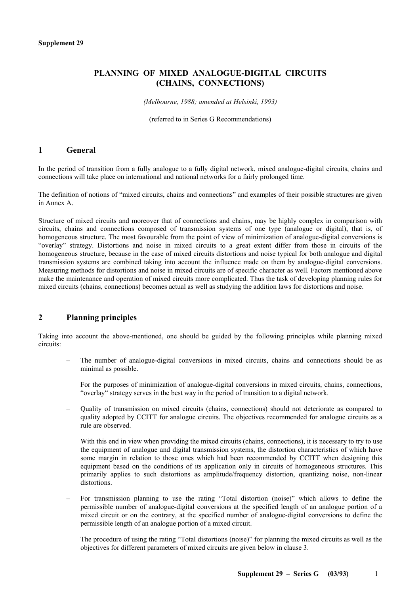# **PLANNING OF MIXED ANALOGUE-DIGITAL CIRCUITS (CHAINS, CONNECTIONS)**

*(Melbourne, 1988; amended at Helsinki, 1993)* 

(referred to in Series G Recommendations)

## **1 General**

In the period of transition from a fully analogue to a fully digital network, mixed analogue-digital circuits, chains and connections will take place on international and national networks for a fairly prolonged time.

The definition of notions of "mixed circuits, chains and connections" and examples of their possible structures are given in Annex A.

Structure of mixed circuits and moreover that of connections and chains, may be highly complex in comparison with circuits, chains and connections composed of transmission systems of one type (analogue or digital), that is, of homogeneous structure. The most favourable from the point of view of minimization of analogue-digital conversions is "overlay" strategy. Distortions and noise in mixed circuits to a great extent differ from those in circuits of the homogeneous structure, because in the case of mixed circuits distortions and noise typical for both analogue and digital transmission systems are combined taking into account the influence made on them by analogue-digital conversions. Measuring methods for distortions and noise in mixed circuits are of specific character as well. Factors mentioned above make the maintenance and operation of mixed circuits more complicated. Thus the task of developing planning rules for mixed circuits (chains, connections) becomes actual as well as studying the addition laws for distortions and noise.

# **2 Planning principles**

Taking into account the above-mentioned, one should be guided by the following principles while planning mixed circuits:

– The number of analogue-digital conversions in mixed circuits, chains and connections should be as minimal as possible.

 For the purposes of minimization of analogue-digital conversions in mixed circuits, chains, connections, "overlay" strategy serves in the best way in the period of transition to a digital network.

– Quality of transmission on mixed circuits (chains, connections) should not deteriorate as compared to quality adopted by CCITT for analogue circuits. The objectives recommended for analogue circuits as a rule are observed.

With this end in view when providing the mixed circuits (chains, connections), it is necessary to try to use the equipment of analogue and digital transmission systems, the distortion characteristics of which have some margin in relation to those ones which had been recommended by CCITT when designing this equipment based on the conditions of its application only in circuits of homogeneous structures. This primarily applies to such distortions as amplitude/frequency distortion, quantizing noise, non-linear distortions.

– For transmission planning to use the rating "Total distortion (noise)" which allows to define the permissible number of analogue-digital conversions at the specified length of an analogue portion of a mixed circuit or on the contrary, at the specified number of analogue-digital conversions to define the permissible length of an analogue portion of a mixed circuit.

 The procedure of using the rating "Total distortions (noise)" for planning the mixed circuits as well as the objectives for different parameters of mixed circuits are given below in clause 3.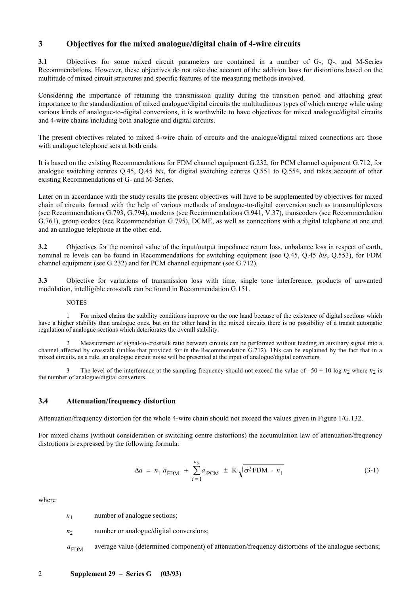# **3 Objectives for the mixed analogue/digital chain of 4-wire circuits**

**3.1** Objectives for some mixed circuit parameters are contained in a number of G-, Q-, and M-Series Recommendations. However, these objectives do not take due account of the addition laws for distortions based on the multitude of mixed circuit structures and specific features of the measuring methods involved.

Considering the importance of retaining the transmission quality during the transition period and attaching great importance to the standardization of mixed analogue/digital circuits the multitudinous types of which emerge while using various kinds of analogue-to-digital conversions, it is worthwhile to have objectives for mixed analogue/digital circuits and 4-wire chains including both analogue and digital circuits.

The present objectives related to mixed 4-wire chain of circuits and the analogue/digital mixed connections arc those with analogue telephone sets at both ends.

It is based on the existing Recommendations for FDM channel equipment G.232, for PCM channel equipment G.712, for analogue switching centres Q.45, Q.45 *bis*, for digital switching centres Q.551 to Q.554, and takes account of other existing Recommendations of G- and M-Series.

Later on in accordance with the study results the present objectives will have to be supplemented by objectives for mixed chain of circuits formed with the help of various methods of analogue-to-digital conversion such as transmultiplexers (see Recommendations G.793, G.794), modems (see Recommendations G.941, V.37), transcoders (see Recommendation G.761), group codecs (see Recommendation G.795), DCME, as well as connections with a digital telephone at one end and an analogue telephone at the other end.

**3.2** Objectives for the nominal value of the input/output impedance return loss, unbalance loss in respect of earth, nominal re levels can be found in Recommendations for switching equipment (see Q.45, Q.45 *bis*, Q.553), for FDM channel equipment (see G.232) and for PCM channel equipment (see G.712).

**3.3** Objective for variations of transmission loss with time, single tone interference, products of unwanted modulation, intelligible crosstalk can be found in Recommendation G.151.

NOTES

1 For mixed chains the stability conditions improve on the one hand because of the existence of digital sections which have a higher stability than analogue ones, but on the other hand in the mixed circuits there is no possibility of a transit automatic regulation of analogue sections which deteriorates the overall stability.

2 Measurement of signal-to-crosstalk ratio between circuits can be performed without feeding an auxiliary signal into a channel affected by crosstalk (unlike that provided for in the Recommendation G.712). This can be explained by the fact that in a mixed circuits, as a rule, an analogue circuit noise will be presented at the input of analogue/digital converters.

3 The level of the interference at the sampling frequency should not exceed the value of  $-50 + 10 \log n_2$  where  $n_2$  is the number of analogue/digital converters.

#### **3.4 Attenuation/frequency distortion**

Attenuation/frequency distortion for the whole 4-wire chain should not exceed the values given in Figure 1/G.132.

For mixed chains (without consideration or switching centre distortions) the accumulation law of attenuation/frequency distortions is expressed by the following formula:

$$
\Delta a = n_1 \overline{a}_{\text{FDM}} + \sum_{i=1}^{n_2} a_{i\text{PCM}} \pm \text{K} \sqrt{\sigma^2 \text{FDM} \cdot n_1}
$$
 (3-1)

where

 $n_1$  number of analogue sections;

 $n_2$  number or analogue/digital conversions;

 $\bar{a}_{\text{FDM}}$  average value (determined component) of attenuation/frequency distortions of the analogue sections;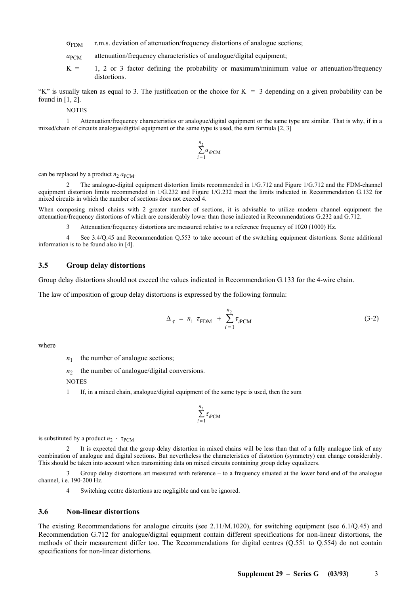- $\sigma_{\text{FDM}}$  r.m.s. deviation of attenuation/frequency distortions of analogue sections;
- *a*PCM attenuation/frequency characteristics of analogue/digital equipment;
- $K = 1, 2$  or 3 factor defining the probability or maximum/minimum value or attenuation/frequency distortions.

"K" is usually taken as equal to 3. The justification or the choice for  $K = 3$  depending on a given probability can be found in [1, 2].

NOTES

1 Attenuation/frequency characteristics or analogue/digital equipment or the same type are similar. That is why, if in a mixed/chain of circuits analogue/digital equipment or the same type is used, the sum formula [2, 3]

$$
\sum_{i=1}^{n_2} a_{i\text{PCM}}
$$

can be replaced by a product  $n_2$   $a_{\text{PCM}}$ .

2 The analogue-digital equipment distortion limits recommended in 1/G.712 and Figure 1/G.712 and the FDM-channel equipment distortion limits recommended in 1/G.232 and Figure 1/G.232 meet the limits indicated in Recommendation G.132 for mixed circuits in which the number of sections does not exceed 4.

When composing mixed chains with 2 greater number of sections, it is advisable to utilize modern channel equipment the attenuation/frequency distortions of which are considerably lower than those indicated in Recommendations G.232 and G.712.

3 Attenuation/frequency distortions are measured relative to a reference frequency of 1020 (1000) Hz.

4 See 3.4/Q.45 and Recommendation Q.553 to take account of the switching equipment distortions. Some additional information is to be found also in [4].

#### **3.5 Group delay distortions**

Group delay distortions should not exceed the values indicated in Recommendation G.133 for the 4-wire chain.

The law of imposition of group delay distortions is expressed by the following formula:

$$
\Delta_{\tau} = n_1 \tau_{\text{FDM}} + \sum_{i=1}^{n_2} \tau_{i\text{PCM}} \tag{3-2}
$$

where

 $n_1$  the number of analogue sections;

 $n_2$  the number of analogue/digital conversions.

**NOTES** 

1 If, in a mixed chain, analogue/digital equipment of the same type is used, then the sum

$$
\sum_{i=1}^{n_2} \tau_{i\text{PCM}}
$$

is substituted by a product  $n_2 \cdot \tau_{\text{PCM}}$ 

2 It is expected that the group delay distortion in mixed chains will be less than that of a fully analogue link of any combination of analogue and digital sections. But nevertheless the characteristics of distortion (symmetry) can change considerably. This should be taken into account when transmitting data on mixed circuits containing group delay equalizers.

Group delay distortions art measured with reference – to a frequency situated at the lower band end of the analogue channel, i.e. 190-200 Hz.

4 Switching centre distortions are negligible and can be ignored.

#### **3.6 Non-linear distortions**

The existing Recommendations for analogue circuits (see 2.11/M.1020), for switching equipment (see 6.1/Q.45) and Recommendation G.712 for analogue/digital equipment contain different specifications for non-linear distortions, the methods of their measurement differ too. The Recommendations for digital centres (Q.551 to Q.554) do not contain specifications for non-linear distortions.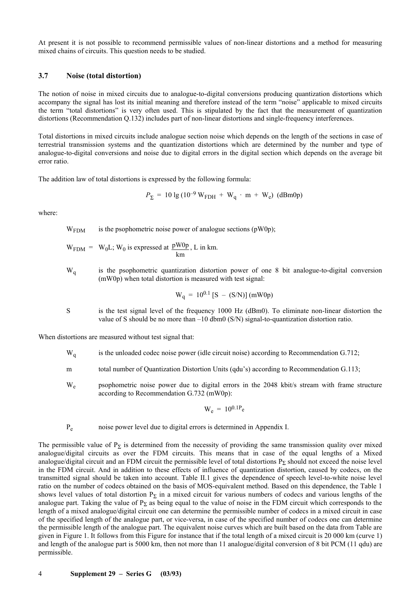At present it is not possible to recommend permissible values of non-linear distortions and a method for measuring mixed chains of circuits. This question needs to be studied.

#### **3.7 Noise (total distortion)**

The notion of noise in mixed circuits due to analogue-to-digital conversions producing quantization distortions which accompany the signal has lost its initial meaning and therefore instead of the term "noise" applicable to mixed circuits the term "total distortions" is very often used. This is stipulated by the fact that the measurement of quantization distortions (Recommendation Q.132) includes part of non-linear distortions and single-frequency interferences.

Total distortions in mixed circuits include analogue section noise which depends on the length of the sections in case of terrestrial transmission systems and the quantization distortions which are determined by the number and type of analogue-to-digital conversions and noise due to digital errors in the digital section which depends on the average bit error ratio.

The addition law of total distortions is expressed by the following formula:

$$
P_{\Sigma} = 10 \lg (10^{-9} \text{ W}_{\text{FDH}} + \text{W}_{\text{q}} \cdot \text{m} + \text{W}_{\text{e}}) \text{ (dBm0p)}
$$

where:

 $W<sub>FDM</sub>$  is the psophometric noise power of analogue sections (pW0p);

- $W_{\text{FDM}} = W_0L$ ; W<sub>0</sub> is expressed at km  $\frac{\text{pW0p}}{\text{pW0p}}$ , L in km.
- W<sub>q</sub> is the psophometric quantization distortion power of one 8 bit analogue-to-digital conversion (mW0p) when total distortion is measured with test signal:

$$
W_q = 10^{0.1} [S - (S/N)] (mW0p)
$$

S is the test signal level of the frequency 1000 Hz (dBm0). To eliminate non-linear distortion the value of S should be no more than  $-10$  dbm0 (S/N) signal-to-quantization distortion ratio.

When distortions are measured without test signal that:

- W<sub>q</sub> is the unloaded codec noise power (idle circuit noise) according to Recommendation G.712;
- m total number of Quantization Distortion Units (qdu's) according to Recommendation G.113;
- W<sub>e</sub> psophometric noise power due to digital errors in the 2048 kbit/s stream with frame structure according to Recommendation G.732 (mW0p):

$$
W_e = 10^{0.1P_e}
$$

Pe noise power level due to digital errors is determined in Appendix I.

The permissible value of  $P_{\Sigma}$  is determined from the necessity of providing the same transmission quality over mixed analogue/digital circuits as over the FDM circuits. This means that in case of the equal lengths of a Mixed analogue/digital circuit and an FDM circuit the permissible level of total distortions  $P_{\Sigma}$  should not exceed the noise level in the FDM circuit. And in addition to these effects of influence of quantization distortion, caused by codecs, on the transmitted signal should be taken into account. Table II.1 gives the dependence of speech level-to-white noise level ratio on the number of codecs obtained on the basis of MOS-equivalent method. Based on this dependence, the Table 1 shows level values of total distortion  $P_{\Sigma}$  in a mixed circuit for various numbers of codecs and various lengths of the analogue part. Taking the value of  $P_{\Sigma}$  as being equal to the value of noise in the FDM circuit which corresponds to the length of a mixed analogue/digital circuit one can determine the permissible number of codecs in a mixed circuit in case of the specified length of the analogue part, or vice-versa, in case of the specified number of codecs one can determine the permissible length of the analogue part. The equivalent noise curves which are built based on the data from Table are given in Figure 1. It follows from this Figure for instance that if the total length of a mixed circuit is 20 000 km (curve 1) and length of the analogue part is 5000 km, then not more than 11 analogue/digital conversion of 8 bit PCM (11 qdu) are permissible.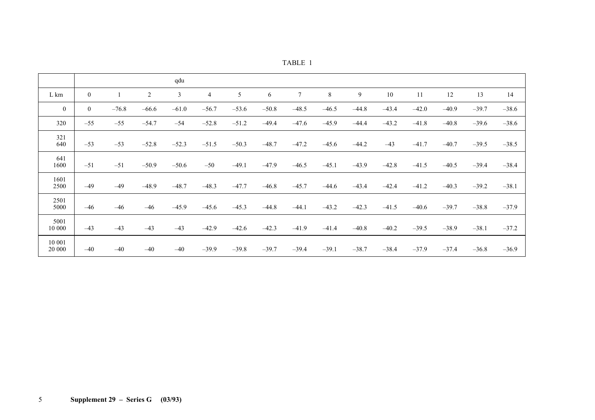| TABLE |  |  |  |  |
|-------|--|--|--|--|
|-------|--|--|--|--|

|                  |                |         |                | qdu     |         |         |         |         |         |         |         |         |         |         |         |
|------------------|----------------|---------|----------------|---------|---------|---------|---------|---------|---------|---------|---------|---------|---------|---------|---------|
| L km             | $\mathbf{0}$   |         | $\overline{2}$ | 3       | 4       | 5       | 6       | $\tau$  | 8       | 9       | 10      | 11      | 12      | 13      | 14      |
| $\bf{0}$         | $\overline{0}$ | $-76.8$ | $-66.6$        | $-61.0$ | $-56.7$ | $-53.6$ | $-50.8$ | $-48.5$ | $-46.5$ | $-44.8$ | $-43.4$ | $-42.0$ | $-40.9$ | $-39.7$ | $-38.6$ |
| 320              | $-55$          | $-55$   | $-54.7$        | $-54$   | $-52.8$ | $-51.2$ | $-49.4$ | $-47.6$ | $-45.9$ | $-44.4$ | $-43.2$ | $-41.8$ | $-40.8$ | $-39.6$ | $-38.6$ |
| 321<br>640       | $-53$          | $-53$   | $-52.8$        | $-52.3$ | $-51.5$ | $-50.3$ | $-48.7$ | $-47.2$ | $-45.6$ | $-44.2$ | $-43$   | $-41.7$ | $-40.7$ | $-39.5$ | $-38.5$ |
| 641<br>1600      | $-51$          | $-51$   | $-50.9$        | $-50.6$ | $-50$   | $-49.1$ | $-47.9$ | $-46.5$ | $-45.1$ | $-43.9$ | $-42.8$ | $-41.5$ | $-40.5$ | $-39.4$ | $-38.4$ |
| 1601<br>2500     | $-49$          | $-49$   | $-48.9$        | $-48.7$ | $-48.3$ | $-47.7$ | $-46.8$ | $-45.7$ | $-44.6$ | $-43.4$ | $-42.4$ | $-41.2$ | $-40.3$ | $-39.2$ | $-38.1$ |
| 2501<br>5000     | $-46$          | $-46$   | $-46$          | $-45.9$ | $-45.6$ | $-45.3$ | $-44.8$ | $-44.1$ | $-43.2$ | $-42.3$ | $-41.5$ | $-40.6$ | $-39.7$ | $-38.8$ | $-37.9$ |
| 5001<br>10 000   | $-43$          | $-43$   | $-43$          | $-43$   | $-42.9$ | $-42.6$ | $-42.3$ | $-41.9$ | $-41.4$ | $-40.8$ | $-40.2$ | $-39.5$ | $-38.9$ | $-38.1$ | $-37.2$ |
| 10 001<br>20 000 | $-40$          | $-40$   | $-40$          | $-40$   | $-39.9$ | $-39.8$ | $-39.7$ | $-39.4$ | $-39.1$ | $-38.7$ | $-38.4$ | $-37.9$ | $-37.4$ | $-36.8$ | $-36.9$ |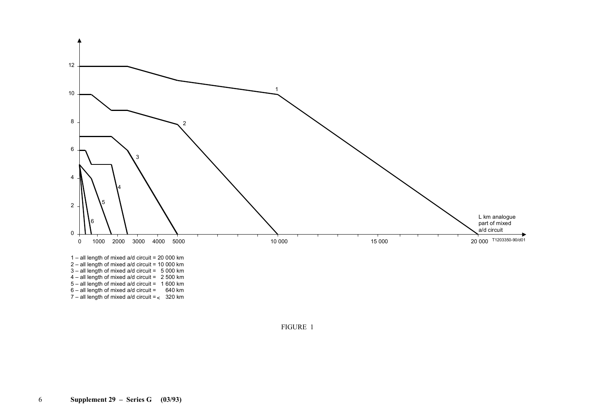

FIGURE 1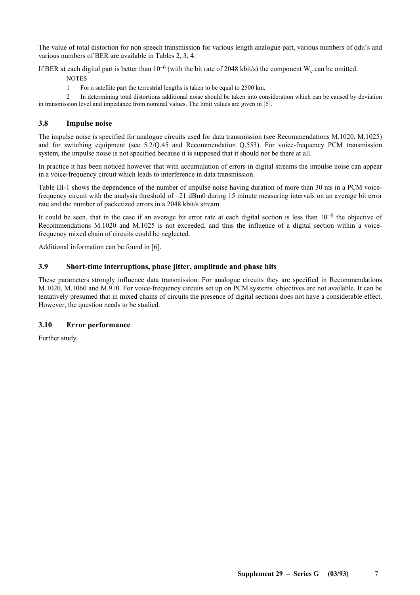The value of total distortion for non speech transmission for various length analogue part, various numbers of qdu's and various numbers of BER are available in Tables 2, 3, 4.

If BER at each digital part is better than  $10^{-6}$  (with the bit rate of 2048 kbit/s) the component W<sub>e</sub> can be omitted.

**NOTES** 

1 For a satellite part the terrestrial lengths is taken to be equal to 2500 km.

2 In determining total distortions additional noise should be taken into consideration which can be caused by deviation in transmission level and impedance from nominal values. The limit values are given in [5].

# **3.8 Impulse noise**

The impulse noise is specified for analogue circuits used for data transmission (see Recommendations M.1020, M.1025) and for switching equipment (see 5.2/Q.45 and Recommendation Q.553). For voice-frequency PCM transmission system, the impulse noise is not specified because it is supposed that it should not be there at all.

In practice it has been noticed however that with accumulation of errors in digital streams the impulse noise can appear in a voice-frequency circuit which leads to interference in data transmission.

Table III-1 shows the dependence of the number of impulse noise having duration of more than 30 ms in a PCM voicefrequency circuit with the analysis threshold of –21 dBm0 during 15 minute measuring intervals on an average bit error rate and the number of packetized errors in a 2048 kbit/s stream.

It could be seen, that in the case if an average bit error rate at each digital section is less than  $10^{-6}$  the objective of Recommendations M.1020 and M.1025 is not exceeded, and thus the influence of a digital section within a voicefrequency mixed chain of circuits could be neglected.

Additional information can be found in [6].

# **3.9 Short-time interruptions, phase jitter, amplitude and phase hits**

These parameters strongly influence data transmission. For analogue circuits they are specified in Recommendations M.1020, M.1060 and M.910. For voice-frequency circuits set up on PCM systems. objectives are not available. It can be tentatively presumed that in mixed chains of circuits the presence of digital sections does not have a considerable effect. However, the question needs to be studied.

# **3.10 Error performance**

Further study.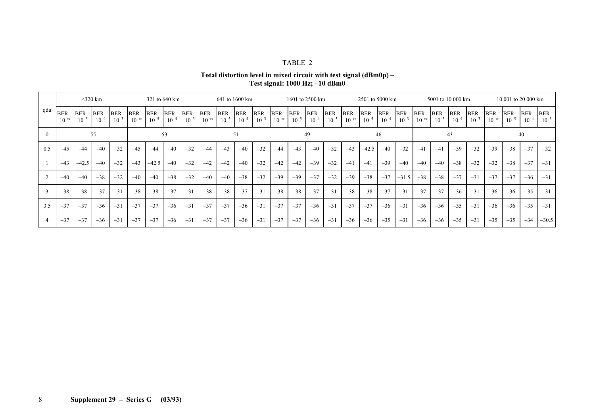#### TABLE 2

**Total distortion level in mixed circuit with test signal (dBm0p) – Test signal: 1000 Hz; –10 dBm0** 

|          | $<$ 320 km<br>321 to 640 km |                |           |           |                | 641 to 1600 km                                     |           |           | 1601 to 2500 km                                                                                                                                                                |           |           |           | 2501 to 5000 km |           |           |           | 5001 to 10 000 km |           |           |           | 10 001 to 20 000 km |           |           |           |                |           |           |           |
|----------|-----------------------------|----------------|-----------|-----------|----------------|----------------------------------------------------|-----------|-----------|--------------------------------------------------------------------------------------------------------------------------------------------------------------------------------|-----------|-----------|-----------|-----------------|-----------|-----------|-----------|-------------------|-----------|-----------|-----------|---------------------|-----------|-----------|-----------|----------------|-----------|-----------|-----------|
| qdu      | $10^{-\infty}$              | $10^{-5}$      | $10^{-4}$ | $10^{-3}$ | $10^{-\infty}$ | $BER = BER = BER = BER = BER = BER =$<br>$10^{-5}$ | $10^{-4}$ | $10^{-3}$ | BER = BER = BER = BER = BER = BER = BER = BER = BER = BER = BER = BER = BER = BER = BER = BER = BER = BER = BER = BER = BER = BER = BER = BER = BER = BER = <br>$10^{-\infty}$ | $10^{-5}$ | $10^{-4}$ | $10^{-3}$ | $10^{-\infty}$  | $10^{-5}$ | $10^{-4}$ | $10^{-3}$ | $10^{-\infty}$    | $10^{-5}$ | $10^{-4}$ | $10^{-3}$ | $10^{-\infty}$      | $10^{-5}$ | $10^{-4}$ | $10^{-3}$ | $10^{-\infty}$ | $10^{-5}$ | $10^{-4}$ | $10^{-3}$ |
| $\Omega$ |                             | $-55$<br>$-53$ |           |           |                |                                                    | $-51$     |           |                                                                                                                                                                                |           |           | $-49$     |                 |           | $-46$     |           |                   |           | $-43$     |           |                     |           |           | $-40$     |                |           |           |           |
| 0.5      | $-45$                       | $-44$          | $-40$     | $-32$     | $-4.5$         | $-44$                                              | $-40$     | $-32$     | $-44$                                                                                                                                                                          | $-43$     | $-40$     | $-32$     | $-44$           | $-43$     | $-40$     | $-32$     | $-43$             | $-42.5$   | $-40$     | $-32$     | $-41$               | $-41$     | $-39$     | $-32$     | $-39$          | $-38$     | $-37$     | $-32$     |
|          | $-43$                       | $-42.5$        | $-40$     | $-32$     | $-43$          | $-42.5$                                            | $-40$     | $-32$     | $-42$                                                                                                                                                                          | $-42$     | $-40$     | $-32$     | $-42$           | $-42$     | $-39$     | $-32$     | $-41$             | $-41$     | $-39$     | $-40$     | $-40$               | $-40$     | $-38$     | $-32$     | $-32$          | $-38$     | $-37$     | $-31$     |
|          | $-40$                       | $-40$          | $-38$     | $-32$     | $-40$          | $-40$                                              | $-38$     | $-32$     | $-40$                                                                                                                                                                          | $-40$     | $-38$     | $-32$     | $-39$           | $-39$     | $-37$     | $-32$     | $-39$             | $-38$     | $-37$     | $-31.5$   | $-38$               | $-38$     | $-37$     | $-31$     | $-37$          | $-37$     | $-36$     | $-31$     |
|          | $-38$                       | $-38$          | $-37$     | $-31$     | $-38$          | $-38$                                              | $-37$     | $-31$     | $-38$                                                                                                                                                                          | $-38$     | $-37$     | $-31$     | $-38$           | $-38$     | $-37$     | $-31$     | $-38$             | $-38$     | $-37$     | $-31$     | $-37$               | $-37$     | $-36$     | $-31$     | $-36$          | $-36$     | $-35$     | $-31$     |
| 3.5      | $-37$                       | $-37$          | $-36$     | $-31$     | $-37$          | $-37$                                              | $-36$     | $-31$     | $-37$                                                                                                                                                                          | $-37$     | $-36$     | $-31$     | $-37$           | $-37$     | $-36$     | $-31$     | $-37$             | $-37$     | $-36$     | $-31$     | $-36$               | $-36$     | $-35$     | $-31$     | $-36$          | $-36$     | $-35$     | $-31$     |
|          | $-37$                       | $-37$          | $-36$     | $-31$     | $-37$          | $-37$                                              | $-36$     | $-31$     | $-37$                                                                                                                                                                          | $-37$     | $-36$     | $-31$     | $-37$           | $-37$     | $-36$     | $-31$     | $-36$             | $-36$     | $-35$     | $-31$     | $-36$               | $-36$     | $-35$     | $-31$     | $-35$          | $-35$     | $-34$     | $-30.5$   |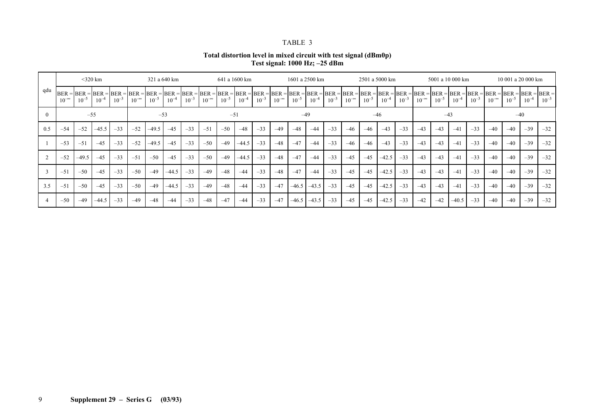#### TABLE 3

**Total distortion level in mixed circuit with test signal (dBm0p) Test signal: 1000 Hz; –25 dBm** 

|     |                | $<$ 320 km<br>321 a 640 km |           |           |                |           | 641 a 1600 km |           |                                                                                                                                                                                                                                                 |           | 1601 a 2500 km |           |                | 2501 a 5000 km |           |           | 5001 a 10 000 km |           |           |           | 10 001 a 20 000 km |           |            |           |                |           |           |           |
|-----|----------------|----------------------------|-----------|-----------|----------------|-----------|---------------|-----------|-------------------------------------------------------------------------------------------------------------------------------------------------------------------------------------------------------------------------------------------------|-----------|----------------|-----------|----------------|----------------|-----------|-----------|------------------|-----------|-----------|-----------|--------------------|-----------|------------|-----------|----------------|-----------|-----------|-----------|
| qdu | $10^{-\infty}$ | $10^{-5}$                  | $10^{-4}$ | $10^{-3}$ | $10^{-\infty}$ | $10^{-5}$ | $10^{-4}$     | $10^{-3}$ | BER = BER = BER = BER = BER = BER = BER = BER = BER = BER = BER = BER = BER = BER = BER = BER = BER = BER = BER = BER = BER = BER = BER = BER = BER = BER = BER = BER = BER = BER = BER = BER = BER = BER = BER = BER = BER =<br>$10^{-\infty}$ | $10^{-5}$ | $10^{-4}$      | $10^{-3}$ | $10^{-\infty}$ | $10^{-5}$      | $10^{-4}$ | $10^{-3}$ | $10^{-\infty}$   | $10^{-5}$ | $10^{-4}$ | $10^{-3}$ | $10^{-\infty}$     | $10^{-5}$ | $10^{-4}$  | $10^{-3}$ | $10^{-\infty}$ | $10^{-5}$ | $10^{-4}$ | $10^{-3}$ |
|     |                | $-55$<br>$-53$             |           |           |                |           | $-51$         |           |                                                                                                                                                                                                                                                 |           |                | $-49$     |                |                |           | $-46$     |                  |           | $-43$     |           |                    |           |            | $-40$     |                |           |           |           |
| 0.5 | $-54$          | $-52$                      | $-45.5$   | $-33$     | $-52$          | $-49.5$   | $-45$         | $-33$     | $-51$                                                                                                                                                                                                                                           | $-50$     | $-48$          | $-33$     | $-49$          | $-48$          | $-44$     | $-33$     | $-46$            | $-46$     | $-43$     | $-33$     | $-43$              | $-43$     | $-4^\circ$ | $-33$     | $-40$          | $-40$     | $-39$     | $-32$     |
|     | $-53$          | $-51$                      | $-45$     | $-33$     | $-52$          | $-49.5$   | $-45$         | $-33$     | $-50$                                                                                                                                                                                                                                           | $-49$     | $-44.5$        | $-33$     | $-48$          | $-47$          | $-44$     | $-33$     | $-46$            | $-46$     | $-43$     | $-33$     | $-43$              | $-43$     | $-4^\circ$ | $-33$     | $-40$          | $-40$     | $-39$     | $-32$     |
|     | $-52$          | $-49.5$                    | $-45$     | $-33$     | $-51$          | $-50$     | $-45$         | $-33$     | $-50$                                                                                                                                                                                                                                           | $-49$     | $-44.5$        | $-33$     | $-48$          | $-47$          | $-44$     | $-33$     | $-45$            | $-45$     | $-42.5$   | $-33$     | $-43$              | $-43$     | $-4^\circ$ | $-33$     | $-40$          | $-40$     | $-39$     | $-32$     |
| 3   | $-51$          | $-50$                      | $-45$     | $-33$     | $-50$          | $-49$     | $-44.5$       | $-33$     | $-49$                                                                                                                                                                                                                                           | $-48$     | $-44$          | $-33$     | $-48$          | $-47$          | $-44$     | $-33$     | $-45$            | $-45$     | $-42.5$   | $-33$     | $-43$              | $-43$     | $-4^\circ$ | $-33$     | $-40$          | $-40$     | $-39$     | $-32$     |
| 3.5 | $-51$          | $-50$                      | $-45$     | $-33$     | $-50$          | $-49$     | $-44.5$       | $-33$     | $-49$                                                                                                                                                                                                                                           | $-48$     | $-44$          | $-33$     | $-47$          | $-46.5$        | $-43.5$   | $-33$     | $-45$            | $-45$     | $-42.5$   | $-33$     | $-43$              | $-43$     | $-4^\circ$ | $-33$     | $-40$          | $-40$     | $-39$     | $-32$     |
|     | $-50$          | $-49$                      | $-44.5$   | $-33$     | $-49$          | $-48$     | $-44$         | $-33$     | $-48$                                                                                                                                                                                                                                           | $-47$     | $-44$          | $-33$     | $-47$          | $-46.5$        | $-43.5$   | $-33$     | $-45$            | $-45$     | $-42.5$   | $-33$     | $-42$              | $-42$     | $-40.5$    | $-33$     | $-40$          | $-40$     | $-39$     | $-32$     |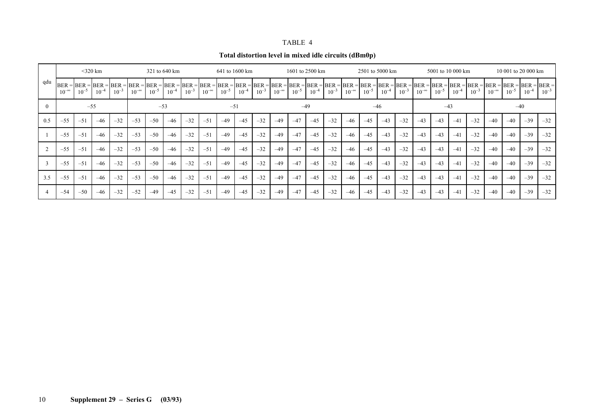| <b>TABLE</b> |  |
|--------------|--|
|--------------|--|

| Total distortion level in mixed idle circuits (dBm0p) |  |
|-------------------------------------------------------|--|
|-------------------------------------------------------|--|

|     | $<$ 320 km<br>321 to 640 km |           |           |           |                |           | 641 to 1600 km |           |                                                                                                                                                                                                                                                 |           |           | 1601 to 2500 km |                |           |           | 2501 to 5000 km |                |           | 5001 to 10 000 km |           |                |           | 10 001 to 20 000 km |           |                |           |           |           |
|-----|-----------------------------|-----------|-----------|-----------|----------------|-----------|----------------|-----------|-------------------------------------------------------------------------------------------------------------------------------------------------------------------------------------------------------------------------------------------------|-----------|-----------|-----------------|----------------|-----------|-----------|-----------------|----------------|-----------|-------------------|-----------|----------------|-----------|---------------------|-----------|----------------|-----------|-----------|-----------|
| qdu | $10^{-\infty}$              | $10^{-5}$ | $10^{-4}$ | $10^{-3}$ | $10^{-\infty}$ | $10^{-5}$ | $10^{-4}$      | $10^{-3}$ | BER = BER = BER = BER = BER = BER = BER = BER = BER = BER = BER = BER = BER = BER = BER = BER = BER = BER = BER = BER = BER = BER = BER = BER = BER = BER = BER = BER = BER = BER = BER = BER = BER = BER = BER = BER = BER =<br>$10^{-\infty}$ | $10^{-5}$ | $10^{-4}$ | $10^{-3}$       | $10^{-\infty}$ | $10^{-5}$ | $10^{-4}$ | $10^{-3}$       | $10^{-\infty}$ | $10^{-5}$ | $10^{-4}$         | $10^{-3}$ | $10^{-\infty}$ | $10^{-5}$ | $10^{-4}$           | $10^{-3}$ | $10^{-\infty}$ | $10^{-5}$ | $10^{-4}$ | $10^{-3}$ |
|     | $-53$<br>$-55$              |           |           |           |                | $-51$     |                |           |                                                                                                                                                                                                                                                 |           | $-49$     |                 |                |           | $-46$     |                 |                | $-43$     |                   |           |                |           | $-40$               |           |                |           |           |           |
| 0.5 | $-55$                       | $-51$     | $-46$     | $-32$     | $-53$          | $-50$     | $-46$          | $-32$     | $-51$                                                                                                                                                                                                                                           | $-49$     | $-4.5$    | $-32$           | $-49$          | $-47$     | $-45$     | $-32$           | $-46$          | $-45$     | $-43$             | $-32$     | $-43$          | $-43$     | $-41$               | $-32$     | $-40$          | $-40$     | $-39$     | $-32$     |
|     | $-55$                       | $-51$     | $-46$     | $-32$     | $-53$          | $-50$     | $-46$          | $-32$     | $-51$                                                                                                                                                                                                                                           | $-49$     | $-4.5$    | $-32$           | $-49$          | $-47$     | $-45$     | $-32$           | $-46$          | $-4.5$    | $-43$             | $-32$     | $-43$          | $-43$     | $-41$               | $-32$     | $-40$          | $-40$     | $-39$     | $-32$     |
|     | $-55$                       | $-51$     | $-46$     | $-32$     | $-53$          | $-50$     | $-46$          | $-32$     | $-51$                                                                                                                                                                                                                                           | $-49$     | $-4.5$    | $-32$           | $-49$          | $-47$     | $-45$     | $-32$           | $-46$          | $-45$     | $-43$             | $-32$     | $-43$          | $-43$     | $-41$               | $-32$     | $-40$          | $-40$     | $-39$     | $-32$     |
| 3   | $-55$                       | $-51$     | $-46$     | $-32$     | $-53$          | $-50$     | $-46$          | $-32$     | $-51$                                                                                                                                                                                                                                           | $-49$     | $-45$     | $-32$           | $-49$          | $-47$     | $-45$     | $-32$           | $-46$          | $-45$     | $-43$             | $-32$     | $-43$          | $-43$     | $-41$               | $-32$     | $-40$          | $-40$     | $-39$     | $-32$     |
| 3.5 | $-55$                       | $-51$     | $-46$     | $-32$     | $-53$          | $-50$     | $-46$          | $-32$     | $-51$                                                                                                                                                                                                                                           | $-49$     | $-45$     | $-32$           | $-49$          | $-47$     | $-45$     | $-32$           | $-46$          | $-45$     | $-43$             | $-32$     | $-43$          | $-43$     | $-41$               | $-32$     | $-40$          | $-40$     | $-39$     | $-32$     |
|     | $-54$                       | $-50$     | $-46$     | $-32$     | $-52$          | $-49$     | $-45$          | $-32$     | $-51$                                                                                                                                                                                                                                           | $-49$     | $-45$     | $-32$           | $-49$          | $-47$     | $-45$     | $-32$           | $-46$          | $-45$     | $-43$             | $-32$     | $-43$          | $-43$     | $-41$               | $-32$     | $-40$          | $-40$     | $-39$     | $-32$     |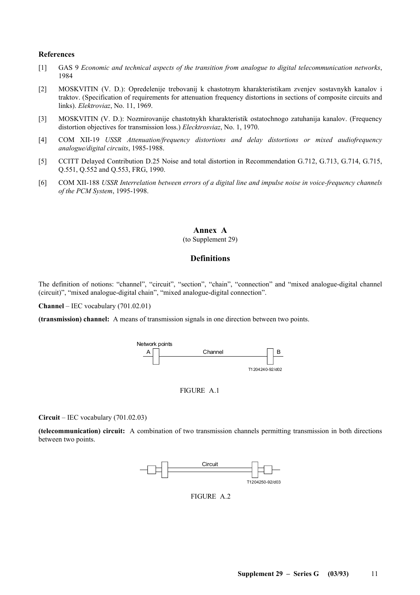#### **References**

- [1] GAS 9 *Economic and technical aspects of the transition from analogue to digital telecommunication networks*, 1984
- [2] MOSKVITIN (V. D.): Opredelenije trebovanij k chastotnym kharakteristikam zvenjev sostavnykh kanalov i traktov. (Specification of requirements for attenuation frequency distortions in sections of composite circuits and links). *Elektroviaz*, No. 11, 1969.
- [3] MOSKVITIN (V. D.): Nozmirovanije chastotnykh kharakteristik ostatochnogo zatuhanija kanalov. (Frequency distortion objectives for transmission loss.) *Elecktrosviaz*, No. 1, 1970.
- [4] COM XII-19 *USSR Attenuation/frequency distortions and delay distortions or mixed audiofrequency analogue/digital circuits*, 1985-1988.
- [5] CCITT Delayed Contribution D.25 Noise and total distortion in Recommendation G.712, G.713, G.714, G.715, Q.551, Q.552 and Q.553, FRG, 1990.
- [6] COM XII-188 *USSR Interrelation between errors of a digital line and impulse noise in voice-frequency channels of the PCM System*, 1995-1998.

#### **Annex A**  (to Supplement 29)

# **Definitions**

The definition of notions: "channel", "circuit", "section", "chain", "connection" and "mixed analogue-digital channel (circuit)", "mixed analogue-digital chain", "mixed analogue-digital connection".

**Channel** – IEC vocabulary (701.02.01)

**(transmission) channel:** A means of transmission signals in one direction between two points.





**Circuit** – IEC vocabulary (701.02.03)

**(telecommunication) circuit:** A combination of two transmission channels permitting transmission in both directions between two points.



FIGURE A.2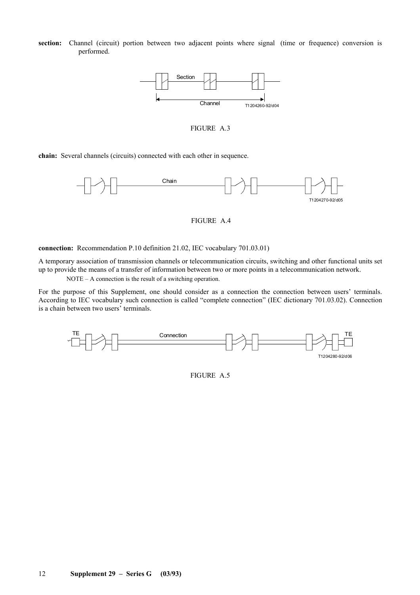section: Channel (circuit) portion between two adjacent points where signal (time or frequence) conversion is performed.



FIGURE A.3

**chain:** Several channels (circuits) connected with each other in sequence.



FIGURE A.4

**connection:** Recommendation P.10 definition 21.02, IEC vocabulary 701.03.01)

A temporary association of transmission channels or telecommunication circuits, switching and other functional units set up to provide the means of a transfer of information between two or more points in a telecommunication network.

NOTE – A connection is the result of a switching operation.

For the purpose of this Supplement, one should consider as a connection the connection between users' terminals. According to IEC vocabulary such connection is called "complete connection" (IEC dictionary 701.03.02). Connection is a chain between two users' terminals.



FIGURE A.5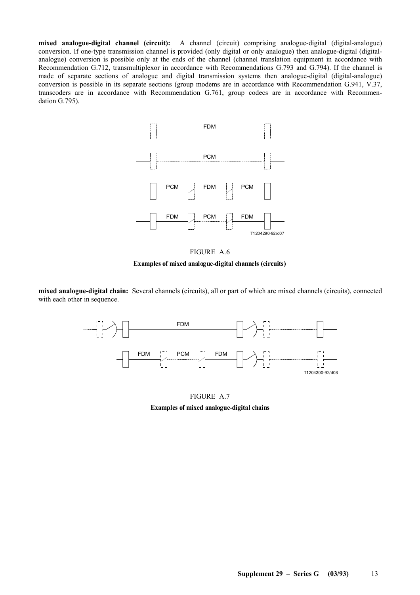**mixed analogue-digital channel (circuit):** A channel (circuit) comprising analogue-digital (digital-analogue) conversion. If one-type transmission channel is provided (only digital or only analogue) then analogue-digital (digitalanalogue) conversion is possible only at the ends of the channel (channel translation equipment in accordance with Recommendation G.712, transmultiplexor in accordance with Recommendations G.793 and G.794). If the channel is made of separate sections of analogue and digital transmission systems then analogue-digital (digital-analogue) conversion is possible in its separate sections (group modems are in accordance with Recommendation G.941, V.37, transcoders are in accordance with Recommendation G.761, group codecs are in accordance with Recommendation G.795).





**mixed analogue-digital chain:** Several channels (circuits), all or part of which are mixed channels (circuits), connected with each other in sequence.



FIGURE A.7 **Examples of mixed analogue-digital chains**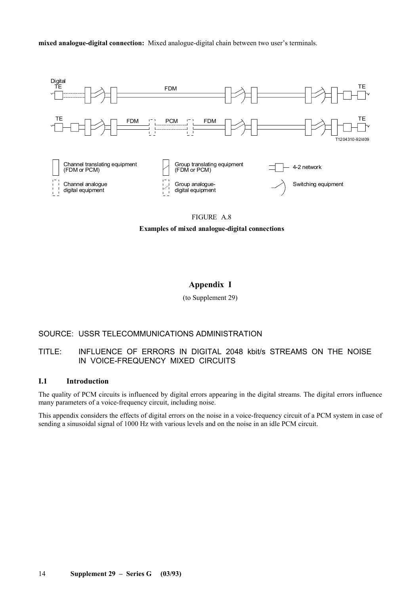**mixed analogue-digital connection:** Mixed analogue-digital chain between two user's terminals.



#### FIGURE A.8

**Examples of mixed analogue-digital connections**

# **Appendix I**

(to Supplement 29)

# SOURCE: USSR TELECOMMUNICATIONS ADMINISTRATION

# TITLE: INFLUENCE OF ERRORS IN DIGITAL 2048 kbit/s STREAMS ON THE NOISE IN VOICE-FREQUENCY MIXED CIRCUITS

#### **I.1 Introduction**

The quality of PCM circuits is influenced by digital errors appearing in the digital streams. The digital errors influence many parameters of a voice-frequency circuit, including noise.

This appendix considers the effects of digital errors on the noise in a voice-frequency circuit of a PCM system in case of sending a sinusoidal signal of 1000 Hz with various levels and on the noise in an idle PCM circuit.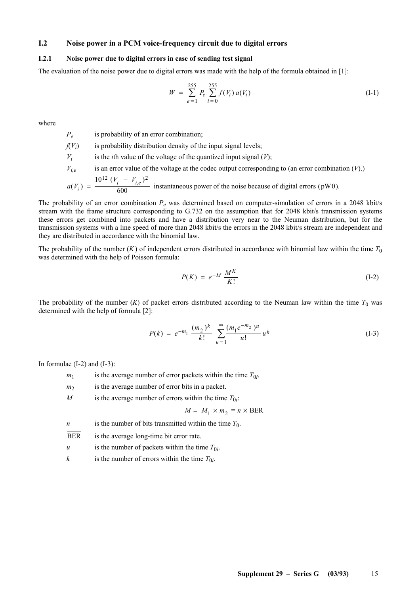# **I.2 Noise power in a PCM voice-frequency circuit due to digital errors**

#### **I.2.1 Noise power due to digital errors in case of sending test signal**

The evaluation of the noise power due to digital errors was made with the help of the formula obtained in [1]:

$$
W = \sum_{e=1}^{255} P_e \sum_{i=0}^{255} f(V_i) a(V_i)
$$
 (I-1)

where

*P<sub>e</sub>* is probability of an error combination;  $f(V_i)$  is probability distribution density of the input signal levels;  $V_i$  is the *i*th value of the voltage of the quantized input signal  $(V)$ ;  $V_{i,e}$  is an error value of the voltage at the codec output corresponding to (an error combination  $(V)$ ). *a V*  $V_i - V$  $(V_i) = \frac{10^{12} (V_i - V_{i,e})}{600}$  $12 (V - V)^2$ instantaneous power of the noise because of digital errors (pW0).

The probability of an error combination  $P_e$  was determined based on computer-simulation of errors in a 2048 kbit/s stream with the frame structure corresponding to G.732 on the assumption that for 2048 kbit/s transmission systems these errors get combined into packets and have a distribution very near to the Neuman distribution, but for the transmission systems with a line speed of more than 2048 kbit/s the errors in the 2048 kbit/s stream are independent and they are distributed in accordance with the binomial law.

The probability of the number  $(K)$  of independent errors distributed in accordance with binomial law within the time  $T_0$ was determined with the help of Poisson formula:

$$
P(K) = e^{-M} \frac{M^K}{K!}
$$
 (I-2)

The probability of the number  $(K)$  of packet errors distributed according to the Neuman law within the time  $T_0$  was determined with the help of formula [2]:

$$
P(k) = e^{-m_1} \frac{(m_2)^k}{k!} \sum_{u=1}^{\infty} \frac{(m_1 e^{-m_2})^u}{u!} u^k
$$
 (I-3)

In formulae  $(I-2)$  and  $(I-3)$ :

| m <sub>1</sub>   | is the average number of error packets within the time $T_{0i}$ . |
|------------------|-------------------------------------------------------------------|
| m <sub>2</sub>   | is the average number of error bits in a packet.                  |
| M                | is the average number of errors within the time $T_{0i}$ .        |
|                  | $M = M_1 \times m_2 = n \times BER$                               |
| $\boldsymbol{n}$ | is the number of bits transmitted within the time $T_0$ .         |
| <b>BER</b>       | is the average long-time bit error rate.                          |
| $\boldsymbol{u}$ | is the number of packets within the time $T_{0i}$ .               |
|                  |                                                                   |

*k* is the number of errors within the time  $T_{0i}$ .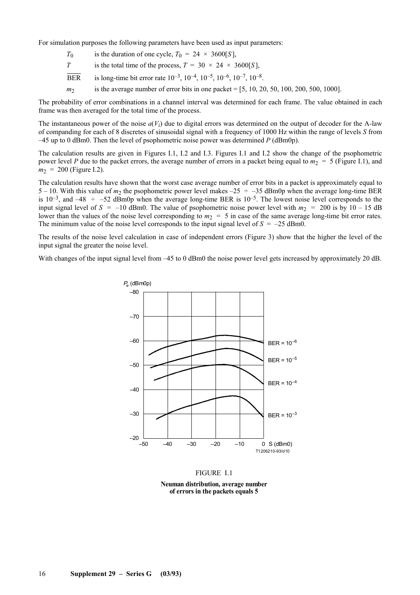For simulation purposes the following parameters have been used as input parameters:

- $T_0$  is the duration of one cycle,  $T_0 = 24 \times 3600[S]$ ,
- *T* is the total time of the process,  $T = 30 \times 24 \times 3600[S]$ ,
- BER is long-time bit error rate  $10^{-3}$ ,  $10^{-4}$ ,  $10^{-5}$ ,  $10^{-6}$ ,  $10^{-7}$ ,  $10^{-8}$ .
- *m*<sub>2</sub> is the average number of error bits in one packet = [5, 10, 20, 50, 100, 200, 500, 1000].

The probability of error combinations in a channel interval was determined for each frame. The value obtained in each frame was then averaged for the total time of the process.

The instantaneous power of the noise  $a(V_i)$  due to digital errors was determined on the output of decoder for the A-law of companding for each of 8 discretes of sinusoidal signal with a frequency of 1000 Hz within the range of levels *S* from  $-45$  up to 0 dBm0. Then the level of psophometric noise power was determined  $P$  (dBm0p).

The calculation results are given in Figures I.1, I.2 and I.3. Figures I.1 and I.2 show the change of the psophometric power level *P* due to the packet errors, the average number of errors in a packet being equal to  $m_2 = 5$  (Figure I.1), and  $m_2$  = 200 (Figure I.2).

The calculation results have shown that the worst case average number of error bits in a packet is approximately equal to 5 – 10. With this value of  $m_2$  the psophometric power level makes –25  $\div$  –35 dBm0p when the average long-time BER is  $10^{-3}$ , and  $-48 \div -52$  dBm0p when the average long-time BER is  $10^{-5}$ . The lowest noise level corresponds to the input signal level of  $S = -10$  dBm0. The value of psophometric noise power level with  $m<sub>2</sub> = 200$  is by 10 – 15 dB lower than the values of the noise level corresponding to  $m<sub>2</sub> = 5$  in case of the same average long-time bit error rates. The minimum value of the noise level corresponds to the input signal level of  $S = -25$  dBm0.

The results of the noise level calculation in case of independent errors (Figure 3) show that the higher the level of the input signal the greater the noise level.

With changes of the input signal level from  $-45$  to 0 dBm0 the noise power level gets increased by approximately 20 dB.



#### FIGURE I.1

**Neuman distribution, average number of errors in the packets equals 5**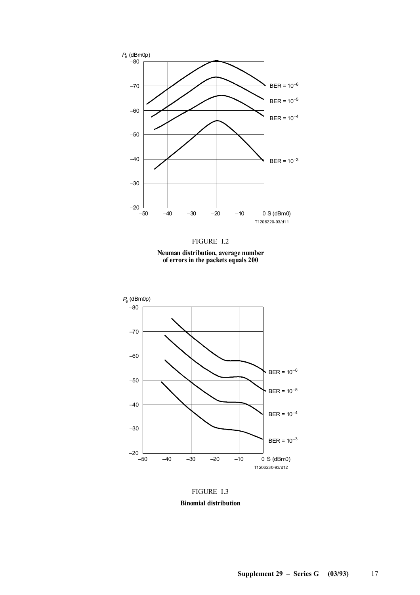



**Neuman distribution, average number of errors in the packets equals 200**



FIGURE I.3 **Binomial distribution**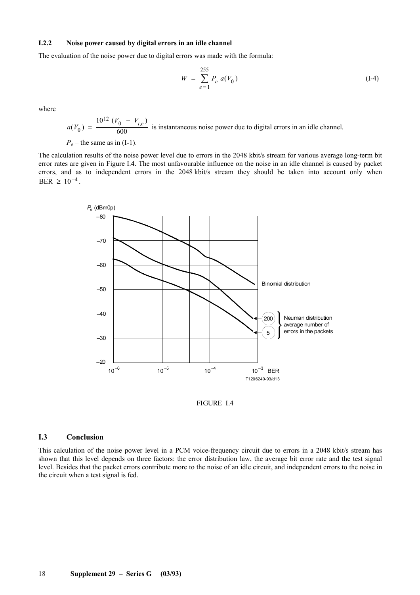#### **I.2.2 Noise power caused by digital errors in an idle channel**

The evaluation of the noise power due to digital errors was made with the formula:

$$
W = \sum_{e=1}^{255} P_e \ a(V_0) \tag{I-4}
$$

where

$$
a(V_0) = \frac{10^{12} (V_0 - V_{i,e})}{600}
$$
 is instantaneous noise power due to digital errors in an idle channel.  

$$
P_e
$$
 - the same as in (I-1).

The calculation results of the noise power level due to errors in the 2048 kbit/s stream for various average long-term bit error rates are given in Figure I.4. The most unfavourable influence on the noise in an idle channel is caused by packet errors, and as to independent errors in the 2048 kbit/s stream they should be taken into account only when  $\overline{\text{BER}} \geq 10^{-4}$ .





# **I.3 Conclusion**

This calculation of the noise power level in a PCM voice-frequency circuit due to errors in a 2048 kbit/s stream has shown that this level depends on three factors: the error distribution law, the average bit error rate and the test signal level. Besides that the packet errors contribute more to the noise of an idle circuit, and independent errors to the noise in the circuit when a test signal is fed.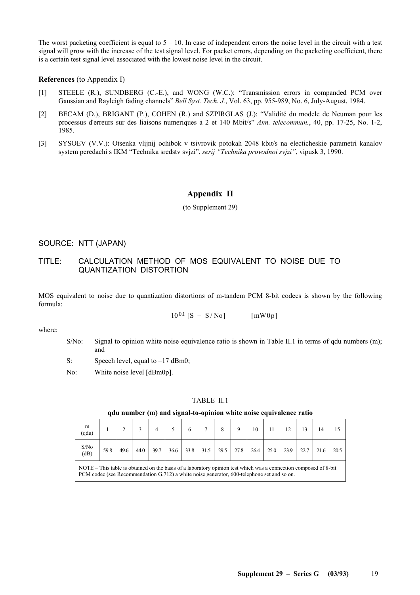The worst packeting coefficient is equal to  $5 - 10$ . In case of independent errors the noise level in the circuit with a test signal will grow with the increase of the test signal level. For packet errors, depending on the packeting coefficient, there is a certain test signal level associated with the lowest noise level in the circuit.

#### **References** (to Appendix I)

- [1] STEELE (R.), SUNDBERG (C.-E.), and WONG (W.C.): "Transmission errors in companded PCM over Gaussian and Rayleigh fading channels" *Bell Syst. Tech. J.*, Vol. 63, pp. 955-989, No. 6, July-August, 1984.
- [2] BECAM (D.), BRIGANT (P.), COHEN (R.) and SZPIRGLAS (J.): "Validité du modele de Neuman pour les processus d'erreurs sur des liaisons numeriques à 2 et 140 Mbit/s" *Ann. telecommun.*, 40, pp. 17-25, No. 1-2, 1985.
- [3] SYSOEV (V.V.): Otsenka vlijnij ochibok v tsivrovik potokah 2048 kbit/s na electicheskie parametri kanalov system peredachi s IKM "Technika sredstv svjzi", *serij "Technika provodnoi svjzi"*, vipusk 3, 1990.

# **Appendix II**

(to Supplement 29)

# SOURCE: NTT (JAPAN)

# TITLE: CALCULATION METHOD OF MOS EQUIVALENT TO NOISE DUE TO QUANTIZATION DISTORTION

MOS equivalent to noise due to quantization distortions of m-tandem PCM 8-bit codecs is shown by the following formula:

 $10^{0.1}$  [S - S/No] [mW0p]

where:

- S/No: Signal to opinion white noise equivalence ratio is shown in Table II.1 in terms of qdu numbers (m); and
- S: Speech level, equal to  $-17$  dBm0;

No: White noise level [dBm0p].

#### TABLE II.1

#### **qdu number (m) and signal-to-opinion white noise equivalence ratio**

| m<br>(qdu)                                                                                                                                                                                                     |      |      |      | 4    |      | 6    |      |      |      | 10   | 11   |      | 13   | 14   |      |
|----------------------------------------------------------------------------------------------------------------------------------------------------------------------------------------------------------------|------|------|------|------|------|------|------|------|------|------|------|------|------|------|------|
| S/No<br>(dB)                                                                                                                                                                                                   | 59.8 | 49.6 | 44.0 | 39.7 | 36.6 | 33.8 | 31.5 | 29.5 | 27.8 | 26.4 | 25.0 | 23.9 | 22.7 | 21.6 | 20.5 |
| NOTE – This table is obtained on the basis of a laboratory opinion test which was a connection composed of 8-bit<br>PCM codec (see Recommendation G.712) a white noise generator, 600-telephone set and so on. |      |      |      |      |      |      |      |      |      |      |      |      |      |      |      |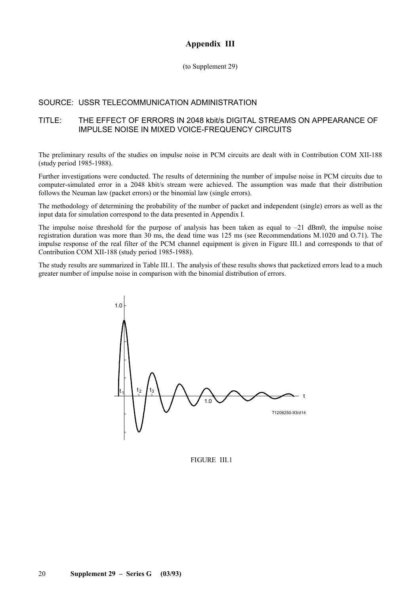# **Appendix III**

(to Supplement 29)

# SOURCE: USSR TELECOMMUNICATION ADMINISTRATION

## TITLE: THE EFFECT OF ERRORS IN 2048 kbit/s DIGITAL STREAMS ON APPEARANCE OF IMPULSE NOISE IN MIXED VOICE-FREQUENCY CIRCUITS

The preliminary results of the studies on impulse noise in PCM circuits are dealt with in Contribution COM XII-188 (study period 1985-1988).

Further investigations were conducted. The results of determining the number of impulse noise in PCM circuits due to computer-simulated error in a 2048 kbit/s stream were achieved. The assumption was made that their distribution follows the Neuman law (packet errors) or the binomial law (single errors).

The methodology of determining the probability of the number of packet and independent (single) errors as well as the input data for simulation correspond to the data presented in Appendix I.

The impulse noise threshold for the purpose of analysis has been taken as equal to –21 dBm0, the impulse noise registration duration was more than 30 ms, the dead time was 125 ms (see Recommendations M.1020 and O.71). The impulse response of the real filter of the PCM channel equipment is given in Figure III.1 and corresponds to that of Contribution COM XII-188 (study period 1985-1988).

The study results are summarized in Table III.1. The analysis of these results shows that packetized errors lead to a much greater number of impulse noise in comparison with the binomial distribution of errors.



FIGURE III.1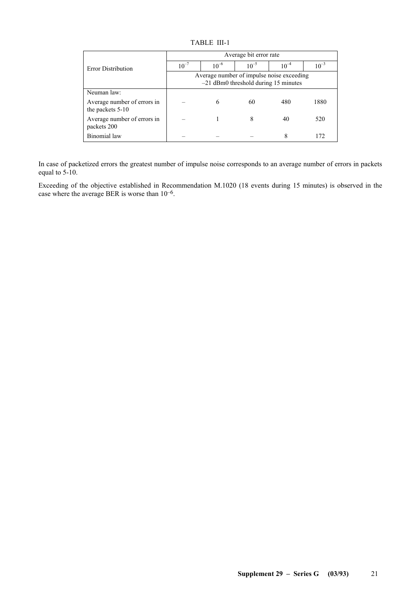TABLE III-1

|                                                 | Average bit error rate                                                              |           |           |           |           |  |  |  |  |  |  |  |
|-------------------------------------------------|-------------------------------------------------------------------------------------|-----------|-----------|-----------|-----------|--|--|--|--|--|--|--|
| <b>Error Distribution</b>                       | $10^{-7}$                                                                           | $10^{-6}$ | $10^{-5}$ | $10^{-4}$ | $10^{-3}$ |  |  |  |  |  |  |  |
|                                                 | Average number of impulse noise exceeding<br>$-21$ dBm0 threshold during 15 minutes |           |           |           |           |  |  |  |  |  |  |  |
| Neuman law:                                     |                                                                                     |           |           |           |           |  |  |  |  |  |  |  |
| Average number of errors in<br>the packets 5-10 |                                                                                     | 6         | 60        | 480       | 1880      |  |  |  |  |  |  |  |
| Average number of errors in<br>packets 200      |                                                                                     |           | 8         | 40        | 520       |  |  |  |  |  |  |  |
| Binomial law                                    |                                                                                     |           |           | 8         | 172       |  |  |  |  |  |  |  |

In case of packetized errors the greatest number of impulse noise corresponds to an average number of errors in packets equal to 5-10.

Exceeding of the objective established in Recommendation M.1020 (18 events during 15 minutes) is observed in the case where the average BER is worse than  $10^{-6}$ .